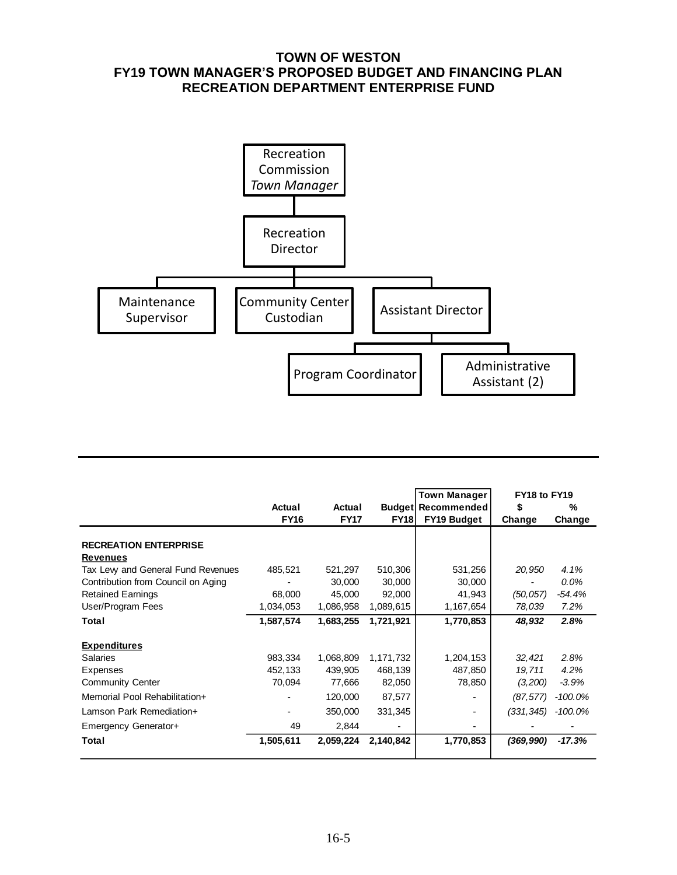### **TOWN OF WESTON FY19 TOWN MANAGER'S PROPOSED BUDGET AND FINANCING PLAN RECREATION DEPARTMENT ENTERPRISE FUND**



|                                    |             |             |             | <b>Town Manager</b>       | FY18 to FY19 |            |
|------------------------------------|-------------|-------------|-------------|---------------------------|--------------|------------|
|                                    | Actual      | Actual      |             | <b>Budget Recommended</b> | \$           | %          |
|                                    | <b>FY16</b> | <b>FY17</b> | <b>FY18</b> | FY19 Budget               | Change       | Change     |
|                                    |             |             |             |                           |              |            |
| <b>RECREATION ENTERPRISE</b>       |             |             |             |                           |              |            |
| <b>Revenues</b>                    |             |             |             |                           |              |            |
| Tax Levy and General Fund Revenues | 485,521     | 521,297     | 510,306     | 531,256                   | 20,950       | 4.1%       |
| Contribution from Council on Aging |             | 30,000      | 30,000      | 30,000                    |              | 0.0%       |
| <b>Retained Earnings</b>           | 68,000      | 45,000      | 92,000      | 41,943                    | (50, 057)    | $-54.4%$   |
| User/Program Fees                  | 1,034,053   | 1,086,958   | 1,089,615   | 1,167,654                 | 78,039       | 7.2%       |
| Total                              | 1,587,574   | 1,683,255   | 1,721,921   | 1,770,853                 | 48,932       | 2.8%       |
| <b>Expenditures</b>                |             |             |             |                           |              |            |
| Salaries                           | 983,334     | 1,068,809   | 1,171,732   | 1,204,153                 | 32,421       | 2.8%       |
| Expenses                           | 452,133     | 439,905     | 468,139     | 487,850                   | 19,711       | 4.2%       |
| <b>Community Center</b>            | 70,094      | 77,666      | 82,050      | 78,850                    | (3,200)      | $-3.9%$    |
| Memorial Pool Rehabilitation+      |             | 120,000     | 87,577      |                           | (87, 577)    | $-100.0\%$ |
| Lamson Park Remediation+           | ٠           | 350,000     | 331,345     |                           | (331, 345)   | -100.0%    |
| Emergency Generator+               | 49          | 2,844       |             |                           |              |            |
| Total                              | 1,505,611   | 2,059,224   | 2,140,842   | 1,770,853                 | (369, 990)   | $-17.3%$   |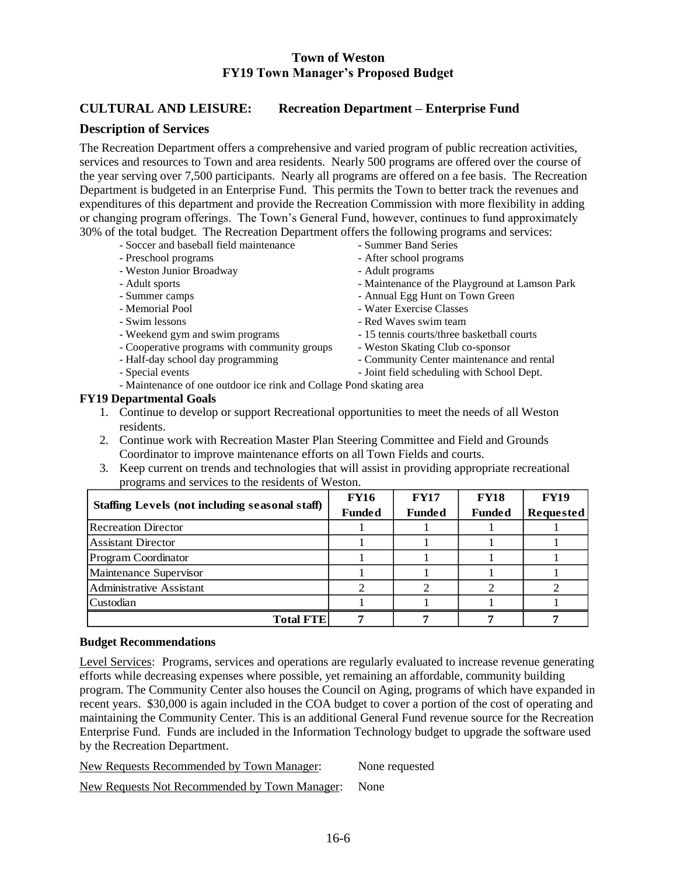### **CULTURAL AND LEISURE: Recreation Department – Enterprise Fund**

#### **Description of Services**

The Recreation Department offers a comprehensive and varied program of public recreation activities, services and resources to Town and area residents. Nearly 500 programs are offered over the course of the year serving over 7,500 participants. Nearly all programs are offered on a fee basis. The Recreation Department is budgeted in an Enterprise Fund. This permits the Town to better track the revenues and expenditures of this department and provide the Recreation Commission with more flexibility in adding or changing program offerings. The Town's General Fund, however, continues to fund approximately 30% of the total budget. The Recreation Department offers the following programs and services:

- Soccer and baseball field maintenance Summer Band Series
- 
- Weston Junior Broadway  **Adult programs**
- 
- 
- 
- 
- 
- Cooperative programs with community groups Weston Skating Club co-sponsor
- 
- 
- 
- Preschool programs After school programs
	-
- Adult sports **and a set of the Playground at Lamson Park**  $\overline{\phantom{a}}$
- Summer camps  $\overline{\phantom{a}}$  Annual Egg Hunt on Town Green
- Memorial Pool  **Water Exercise Classes**
- Swim lessons  **Red Waves swim team**
- Weekend gym and swim programs 15 tennis courts/three basketball courts
	-
- Half-day school day programming Community Center maintenance and rental
- Special events  $\overline{\phantom{a}}$  Joint field scheduling with School Dept.

- Maintenance of one outdoor ice rink and Collage Pond skating area

#### **FY19 Departmental Goals**

- 1. Continue to develop or support Recreational opportunities to meet the needs of all Weston residents.
- 2. Continue work with Recreation Master Plan Steering Committee and Field and Grounds Coordinator to improve maintenance efforts on all Town Fields and courts.
- 3. Keep current on trends and technologies that will assist in providing appropriate recreational programs and services to the residents of Weston.

| Staffing Levels (not including seasonal staff) | <b>FY16</b><br><b>Funded</b> | <b>FY17</b><br><b>Funded</b> | <b>FY18</b><br><b>Funded</b> | <b>FY19</b><br>Requested |
|------------------------------------------------|------------------------------|------------------------------|------------------------------|--------------------------|
| <b>Recreation Director</b>                     |                              |                              |                              |                          |
| <b>Assistant Director</b>                      |                              |                              |                              |                          |
| <b>Program Coordinator</b>                     |                              |                              |                              |                          |
| Maintenance Supervisor                         |                              |                              |                              |                          |
| Administrative Assistant                       |                              |                              |                              |                          |
| Custodian                                      |                              |                              |                              |                          |
| <b>Total FTE</b>                               |                              |                              |                              |                          |

#### **Budget Recommendations**

Level Services: Programs, services and operations are regularly evaluated to increase revenue generating efforts while decreasing expenses where possible, yet remaining an affordable, community building program. The Community Center also houses the Council on Aging, programs of which have expanded in recent years. \$30,000 is again included in the COA budget to cover a portion of the cost of operating and maintaining the Community Center. This is an additional General Fund revenue source for the Recreation Enterprise Fund. Funds are included in the Information Technology budget to upgrade the software used by the Recreation Department.

New Requests Recommended by Town Manager: None requested

New Requests Not Recommended by Town Manager: None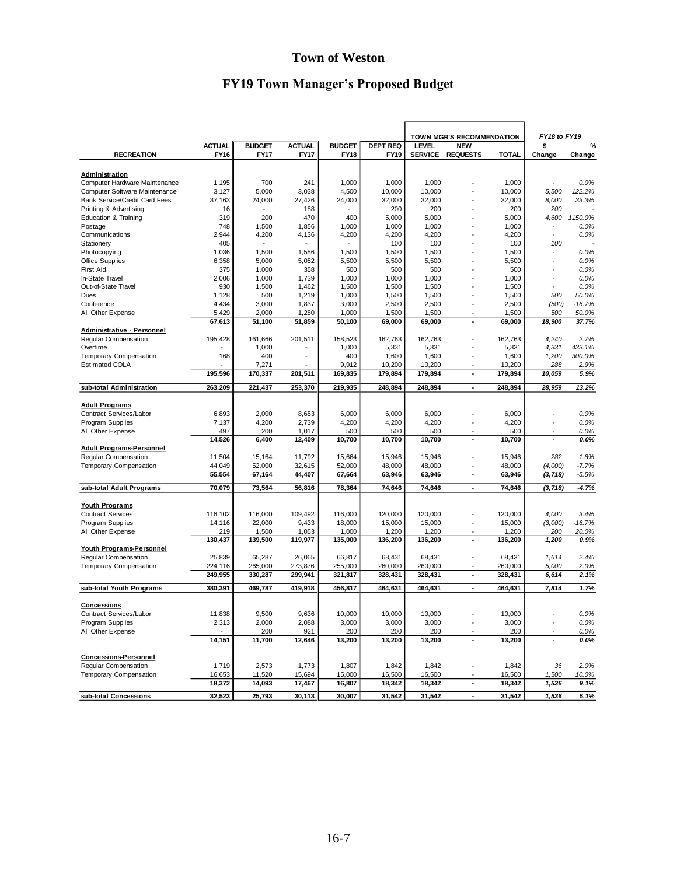# **Town of Weston**

# **FY19 Town Manager's Proposed Budget**

|                                                         |                |                |                |                |                 | TOWN MGR'S RECOMMENDATION |                          |                | FY18 to FY19 |                   |
|---------------------------------------------------------|----------------|----------------|----------------|----------------|-----------------|---------------------------|--------------------------|----------------|--------------|-------------------|
|                                                         | <b>ACTUAL</b>  | <b>BUDGET</b>  | <b>ACTUAL</b>  | <b>BUDGET</b>  | <b>DEPT REQ</b> | LEVEL<br><b>NEW</b>       |                          |                | \$           | %                 |
| <b>RECREATION</b>                                       | <b>FY16</b>    | <b>FY17</b>    | <b>FY17</b>    | <b>FY18</b>    | <b>FY19</b>     |                           | SERVICE REQUESTS         | <b>TOTAL</b>   | Change       | Change            |
|                                                         |                |                |                |                |                 |                           |                          |                |              |                   |
| Administration                                          |                |                |                |                |                 |                           |                          |                |              |                   |
| Computer Hardware Maintenance                           | 1,195          | 700            | 241            | 1,000          | 1,000           | 1,000                     |                          | 1,000          |              | 0.0%              |
| Computer Software Maintenance                           | 3,127          | 5,000          | 3,038          | 4,500          | 10,000          | 10,000                    |                          | 10,000         | 5.500        | 122.2%            |
| <b>Bank Service/Credit Card Fees</b>                    | 37,163         | 24,000         | 27,426         | 24,000         | 32,000          | 32,000                    |                          | 32,000         | 8,000        | 33.3%             |
| Printing & Advertising                                  | 16             |                | 188            |                | 200             | 200                       |                          | 200            | 200          |                   |
| <b>Education &amp; Training</b>                         | 319            | 200            | 470            | 400            | 5,000           | 5,000                     |                          | 5,000          | 4,600        | 1150.0%           |
| Postage                                                 | 748            | 1,500          | 1,856          | 1,000          | 1,000           | 1,000                     |                          | 1,000          |              | 0.0%              |
| Communications                                          | 2,944          | 4,200          | 4,136          | 4,200          | 4,200           | 4,200                     |                          | 4,200          | ÷            | 0.0%              |
| Stationery                                              | 405            |                |                |                | 100             | 100                       |                          | 100            | 100          |                   |
| Photocopying                                            | 1,036          | 1,500          | 1,556          | 1,500          | 1,500           | 1,500                     |                          | 1,500          |              | 0.0%              |
| <b>Office Supplies</b>                                  | 6,358          | 5,000          | 5,052          | 5,500          | 5,500           | 5,500                     |                          | 5,500          |              | 0.0%              |
| <b>First Aid</b>                                        | 375            | 1,000          | 358            | 500            | 500             | 500                       |                          | 500            |              | 0.0%              |
| In-State Travel                                         | 2,006          | 1,000          | 1,739          | 1,000          | 1,000           | 1,000                     |                          | 1,000          |              | 0.0%              |
| Out-of-State Travel<br>Dues                             | 930<br>1,128   | 1,500<br>500   | 1,462          | 1,500          | 1,500           | 1,500                     |                          | 1,500          | 500          | 0.0%<br>50.0%     |
|                                                         |                |                | 1,219          | 1,000          | 1,500           | 1,500                     |                          | 1,500          |              |                   |
| Conference<br>All Other Expense                         | 4,434<br>5,429 | 3,000<br>2,000 | 1,837<br>1,280 | 3,000<br>1,000 | 2,500<br>1,500  | 2,500<br>1,500            |                          | 2,500<br>1,500 | (500)<br>500 | $-16.7%$<br>50.0% |
|                                                         | 67,613         | 51,100         | 51,859         | 50,100         | 69,000          | 69,000                    | ł,                       | 69,000         | 18,900       | 37.7%             |
| <b>Administrative - Personnel</b>                       |                |                |                |                |                 |                           |                          |                |              |                   |
| Regular Compensation                                    | 195,428        | 161,666        | 201,511        | 158,523        | 162,763         | 162,763                   |                          | 162,763        | 4,240        | 2.7%              |
| Overtime                                                |                | 1,000          |                | 1,000          | 5,331           | 5,331                     |                          | 5,331          | 4,331        | 433.1%            |
| Temporary Compensation                                  | 168            | 400            |                | 400            | 1,600           | 1,600                     |                          | 1,600          | 1,200        | 300.0%            |
| <b>Estimated COLA</b>                                   |                | 7,271          |                | 9,912          | 10,200          | 10,200                    |                          | 10,200         | 288          | 2.9%              |
|                                                         | 195,596        | 170,337        | 201,511        | 169,835        | 179,894         | 179,894                   | ÷                        | 179,894        | 10,059       | 5.9%              |
|                                                         |                |                |                |                |                 |                           |                          |                |              |                   |
| sub-total Administration                                | 263,209        | 221,437        | 253,370        | 219,935        | 248,894         | 248,894                   | ä,                       | 248,894        | 28,959       | 13.2%             |
|                                                         |                |                |                |                |                 |                           |                          |                |              |                   |
| <b>Adult Programs</b>                                   |                |                |                |                |                 |                           |                          |                |              |                   |
| Contract Services/Labor                                 | 6,893          | 2,000          | 8,653          | 6,000          | 6,000           | 6,000                     |                          | 6,000          |              | 0.0%              |
| Program Supplies                                        | 7,137          | 4,200          | 2,739          | 4,200          | 4,200           | 4,200                     |                          | 4,200          | Ĭ.           | 0.0%              |
| All Other Expense                                       | 497<br>14,526  | 200            | 1,017          | 500<br>10,700  | 500<br>10,700   | 500                       | ÷,                       | 500            | ٠            | 0.0%              |
| <b>Adult Programs-Personnel</b>                         |                | 6,400          | 12,409         |                |                 | 10,700                    |                          | 10,700         |              | 0.0%              |
| Regular Compensation                                    | 11,504         | 15,164         | 11,792         | 15,664         | 15,946          | 15,946                    |                          | 15,946         | 282          | 1.8%              |
| Temporary Compensation                                  | 44,049         | 52,000         | 32,615         | 52,000         | 48,000          | 48,000                    |                          | 48,000         | (4,000)      | $-7.7%$           |
|                                                         | 55,554         | 67,164         | 44,407         | 67,664         | 63,946          | 63,946                    | $\blacksquare$           | 63,946         | (3, 718)     | $-5.5%$           |
|                                                         |                |                |                |                |                 |                           |                          |                |              |                   |
| sub-total Adult Programs                                | 70,079         | 73,564         | 56,816         | 78,364         | 74,646          | 74,646                    | ×,                       | 74,646         | (3, 718)     | -4.7%             |
|                                                         |                |                |                |                |                 |                           |                          |                |              |                   |
| <b>Youth Programs</b>                                   |                |                |                |                |                 |                           |                          |                |              |                   |
| <b>Contract Services</b>                                | 116,102        | 116,000        | 109,492        | 116,000        | 120,000         | 120,000                   |                          | 120,000        | 4,000        | 3.4%              |
| Program Supplies                                        | 14,116         | 22,000         | 9,433          | 18,000         | 15,000          | 15,000                    |                          | 15,000         | (3,000)      | $-16.7%$          |
| All Other Expense                                       | 219            | 1,500          | 1,053          | 1,000          | 1,200           | 1,200                     |                          | 1,200          | 200          | 20.0%             |
|                                                         | 130,437        | 139,500        | 119,977        | 135,000        | 136,200         | 136,200                   | $\overline{\phantom{a}}$ | 136,200        | 1,200        | 0.9%              |
| <b>Youth Programs-Personnel</b><br>Regular Compensation | 25,839         | 65,287         | 26,065         | 66,817         | 68,431          | 68,431                    | ÷,                       | 68,431         | 1,614        | 2.4%              |
| Temporary Compensation                                  | 224,116        | 265,000        | 273,876        | 255,000        | 260,000         | 260,000                   |                          | 260,000        | 5,000        | 2.0%              |
|                                                         | 249,955        | 330,287        | 299,941        | 321,817        | 328,431         | 328,431                   | $\blacksquare$           | 328,431        | 6,614        | 2.1%              |
|                                                         |                |                |                |                |                 |                           |                          |                |              |                   |
| sub-total Youth Programs                                | 380,391        | 469,787        | 419,918        | 456,817        | 464,631         | 464,631                   | ÷,                       | 464,631        | 7,814        | 1.7%              |
|                                                         |                |                |                |                |                 |                           |                          |                |              |                   |
| <b>Concessions</b>                                      |                |                |                |                |                 |                           |                          |                |              |                   |
| Contract Services/Labor                                 | 11,838         | 9,500          | 9,636          | 10,000         | 10,000          | 10,000                    |                          | 10,000         | l,           | 0.0%              |
| Program Supplies                                        | 2,313          | 2,000          | 2,088          | 3,000          | 3,000           | 3,000                     |                          | 3,000          |              | 0.0%              |
| All Other Expense                                       |                | 200            | 921            | 200            | 200             | 200                       |                          | 200            |              | 0.0%              |
|                                                         | 14,151         | 11,700         | 12,646         | 13,200         | 13,200          | 13,200                    | ä,                       | 13,200         |              | 0.0%              |
|                                                         |                |                |                |                |                 |                           |                          |                |              |                   |
| Concessions-Personnel<br>Regular Compensation           | 1,719          | 2,573          | 1,773          | 1,807          | 1,842           | 1,842                     |                          | 1,842          | 36           | 2.0%              |
| Temporary Compensation                                  | 16,653         | 11,520         | 15,694         | 15,000         | 16,500          | 16,500                    |                          | 16,500         | 1,500        | 10.0%             |
|                                                         | 18,372         | 14,093         | 17,467         | 16,807         | 18,342          | 18,342                    | ä,                       | 18,342         | 1,536        | 9.1%              |
|                                                         |                |                |                |                |                 |                           |                          |                |              |                   |
| sub-total Concessions                                   | 32,523         | 25,793         | 30,113         | 30,007         | 31,542          | 31,542                    |                          | 31,542         | 1,536        | 5.1%              |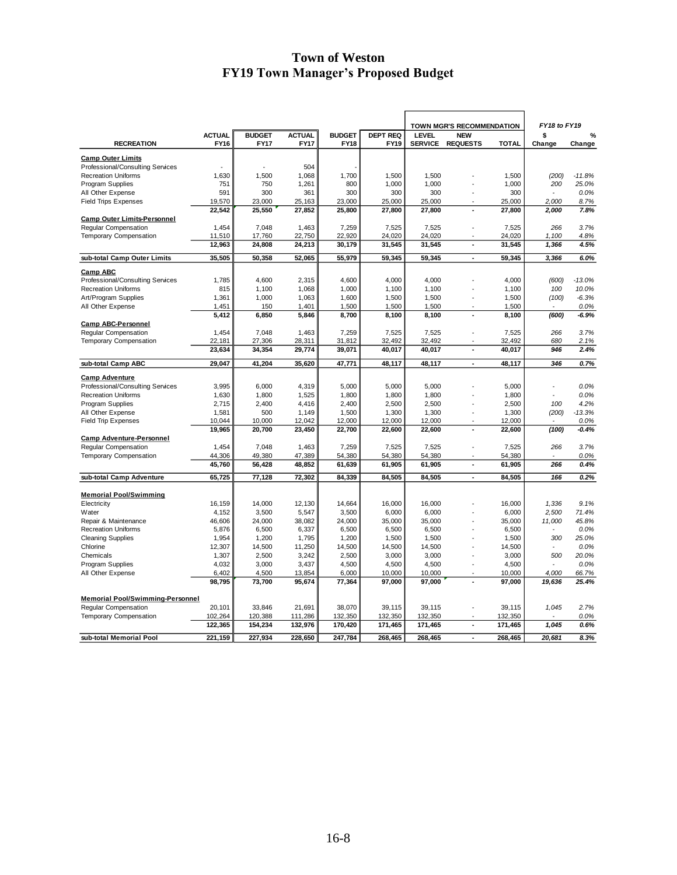|                                         |                              |                              |                              |                  |                                |                                                  |                          | FY18 to FY19     |                |              |
|-----------------------------------------|------------------------------|------------------------------|------------------------------|------------------|--------------------------------|--------------------------------------------------|--------------------------|------------------|----------------|--------------|
|                                         |                              |                              |                              | <b>BUDGET</b>    |                                | TOWN MGR'S RECOMMENDATION<br>LEVEL<br><b>NEW</b> |                          |                  |                |              |
| <b>RECREATION</b>                       | <b>ACTUAL</b><br><b>FY16</b> | <b>BUDGET</b><br><b>FY17</b> | <b>ACTUAL</b><br><b>FY17</b> | <b>FY18</b>      | <b>DEPT REQ</b><br><b>FY19</b> | <b>SERVICE</b>                                   | <b>REQUESTS</b>          | <b>TOTAL</b>     | \$<br>Change   | %<br>Change  |
|                                         |                              |                              |                              |                  |                                |                                                  |                          |                  |                |              |
| <b>Camp Outer Limits</b>                |                              |                              |                              |                  |                                |                                                  |                          |                  |                |              |
| Professional/Consulting Services        |                              |                              | 504                          |                  |                                |                                                  |                          |                  |                |              |
| <b>Recreation Uniforms</b>              | 1,630                        | 1,500                        | 1,068                        | 1,700            | 1,500                          | 1,500                                            |                          | 1,500            | (200)          | $-11.8%$     |
| Program Supplies                        | 751                          | 750                          | 1,261                        | 800              | 1,000                          | 1,000                                            |                          | 1,000            | 200            | 25.0%        |
| All Other Expense                       | 591                          | 300                          | 361                          | 300              | 300                            | 300                                              |                          | 300              |                | 0.0%         |
| <b>Field Trips Expenses</b>             | 19,570                       | 23,000                       | 25,163                       | 23,000           | 25,000                         | 25,000                                           |                          | 25,000           | 2,000          | 8.7%         |
|                                         | 22,542                       | 25,550                       | 27,852                       | 25,800           | 27,800                         | 27,800                                           |                          | 27,800           | 2,000          | 7.8%         |
| <b>Camp Outer Limits-Personnel</b>      |                              |                              |                              |                  |                                |                                                  |                          |                  |                |              |
| Regular Compensation                    | 1,454                        | 7,048                        | 1,463                        | 7,259            | 7,525                          | 7,525                                            |                          | 7,525            | 266            | 3.7%         |
| Temporary Compensation                  | 11,510                       | 17,760                       | 22,750                       | 22,920           | 24,020                         | 24,020                                           |                          | 24,020           | 1,100          | 4.8%         |
|                                         | 12,963                       | 24,808                       | 24,213                       | 30,179           | 31,545                         | 31,545                                           | ä,                       | 31,545           | 1,366          | 4.5%         |
| sub-total Camp Outer Limits             | 35,505                       | 50,358                       | 52,065                       | 55,979           | 59,345                         | 59,345                                           | $\overline{\phantom{a}}$ | 59,345           | 3,366          | 6.0%         |
| <b>Camp ABC</b>                         |                              |                              |                              |                  |                                |                                                  |                          |                  |                |              |
| Professional/Consulting Services        | 1,785                        | 4,600                        | 2,315                        | 4,600            | 4,000                          | 4,000                                            |                          | 4,000            | (600)          | $-13.0%$     |
| <b>Recreation Uniforms</b>              | 815                          | 1,100                        | 1,068                        | 1,000            | 1,100                          | 1,100                                            |                          | 1,100            | 100            | 10.0%        |
| Art/Program Supplies                    | 1,361                        | 1,000                        | 1,063                        | 1,600            | 1,500                          | 1,500                                            |                          | 1,500            | (100)          | $-6.3%$      |
| All Other Expense                       | 1,451                        | 150                          | 1,401                        | 1,500            | 1,500                          | 1,500                                            |                          | 1,500            |                | 0.0%         |
|                                         | 5,412                        | 6,850                        | 5,846                        | 8,700            | 8,100                          | 8,100                                            | ä,                       | 8,100            | (600)          | $-6.9%$      |
| <b>Camp ABC-Personnel</b>               |                              |                              |                              |                  |                                |                                                  |                          |                  |                |              |
| Regular Compensation                    | 1,454                        | 7,048                        | 1,463                        | 7,259            | 7,525                          | 7,525                                            |                          | 7,525            | 266            | 3.7%         |
| Temporary Compensation                  | 22,181                       | 27,306                       | 28,311                       | 31,812           | 32,492                         | 32,492                                           |                          | 32,492           | 680            | 2.1%         |
|                                         | 23,634                       | 34,354                       | 29,774                       | 39,071           | 40,017                         | 40,017                                           | ä,                       | 40,017           | 946            | 2.4%         |
| sub-total Camp ABC                      | 29,047                       | 41,204                       | 35,620                       | 47,771           | 48,117                         | 48,117                                           | $\blacksquare$           | 48,117           | 346            | 0.7%         |
|                                         |                              |                              |                              |                  |                                |                                                  |                          |                  |                |              |
| <b>Camp Adventure</b>                   |                              |                              |                              | 5.000            |                                |                                                  |                          |                  | $\overline{a}$ |              |
| Professional/Consulting Services        | 3.995<br>1,630               | 6,000<br>1,800               | 4,319                        |                  | 5,000                          | 5,000<br>1,800                                   |                          | 5,000            |                | 0.0%<br>0.0% |
| <b>Recreation Uniforms</b>              |                              |                              | 1,525                        | 1,800            | 1,800                          |                                                  |                          | 1,800            |                |              |
| Program Supplies                        | 2,715                        | 2,400                        | 4,416                        | 2,400            | 2,500                          | 2,500                                            |                          | 2,500            | 100            | 4.2%         |
| All Other Expense                       | 1,581                        | 500                          | 1,149                        | 1,500            | 1,300                          | 1,300                                            |                          | 1,300            | (200)          | $-13.3%$     |
| <b>Field Trip Expenses</b>              | 10,044                       | 10,000                       | 12,042                       | 12,000           | 12,000                         | 12,000                                           |                          | 12,000           |                | 0.0%         |
|                                         | 19,965                       | 20,700                       | 23,450                       | 22,700           | 22,600                         | 22,600                                           | ä,                       | 22,600           | (100)          | $-0.4%$      |
| <b>Camp Adventure-Personnel</b>         |                              |                              |                              |                  |                                |                                                  |                          |                  |                |              |
| Regular Compensation                    | 1,454                        | 7,048                        | 1,463                        | 7,259            | 7,525                          | 7,525                                            |                          | 7,525            | 266            | 3.7%         |
| Temporary Compensation                  | 44,306<br>45,760             | 49,380<br>56,428             | 47,389<br>48,852             | 54,380<br>61,639 | 54,380<br>61,905               | 54,380<br>61,905                                 | $\blacksquare$           | 54,380<br>61,905 | 266            | 0.0%<br>0.4% |
|                                         |                              |                              |                              |                  |                                |                                                  |                          |                  |                |              |
| sub-total Camp Adventure                | 65,725                       | 77,128                       | 72,302                       | 84,339           | 84,505                         | 84,505                                           | $\overline{\phantom{a}}$ | 84,505           | 166            | 0.2%         |
| <b>Memorial Pool/Swimming</b>           |                              |                              |                              |                  |                                |                                                  |                          |                  |                |              |
| Electricity                             | 16,159                       | 14,000                       | 12,130                       | 14,664           | 16,000                         | 16,000                                           |                          | 16,000           | 1,336          | 9.1%         |
| Water                                   | 4,152                        | 3,500                        | 5,547                        | 3,500            | 6,000                          | 6,000                                            |                          | 6,000            | 2,500          | 71.4%        |
| Repair & Maintenance                    | 46,606                       | 24,000                       | 38,082                       | 24,000           | 35,000                         | 35,000                                           |                          | 35,000           | 11,000         | 45.8%        |
| <b>Recreation Uniforms</b>              | 5,876                        | 6,500                        | 6,337                        | 6,500            | 6,500                          | 6,500                                            |                          | 6,500            |                | 0.0%         |
| <b>Cleaning Supplies</b>                | 1,954                        | 1,200                        | 1,795                        | 1,200            | 1,500                          | 1,500                                            |                          | 1,500            | 300            | 25.0%        |
| Chlorine                                | 12,307                       | 14,500                       | 11,250                       | 14,500           | 14,500                         | 14,500                                           |                          | 14,500           | $\frac{1}{2}$  | 0.0%         |
| Chemicals                               | 1,307                        | 2,500                        | 3,242                        | 2,500            | 3,000                          | 3,000                                            |                          | 3,000            | 500            | 20.0%        |
| Program Supplies                        | 4,032                        | 3,000                        | 3,437                        | 4,500            | 4,500                          | 4,500                                            | $\overline{a}$           | 4,500            |                | 0.0%         |
| All Other Expense                       | 6,402                        | 4,500                        | 13,854                       | 6,000            | 10,000                         | 10,000                                           |                          | 10,000           | 4,000          | 66.7%        |
|                                         | 98,795                       | 73,700                       | 95,674                       | 77,364           | 97,000                         | 97,000                                           | ä,                       | 97,000           | 19,636         | 25.4%        |
|                                         |                              |                              |                              |                  |                                |                                                  |                          |                  |                |              |
| <b>Memorial Pool/Swimming-Personnel</b> |                              |                              |                              |                  |                                |                                                  |                          |                  |                |              |
| <b>Regular Compensation</b>             | 20,101                       | 33,846                       | 21,691                       | 38,070           | 39,115                         | 39,115                                           |                          | 39,115           | 1,045          | 2.7%         |
| Temporary Compensation                  | 102,264                      | 120,388                      | 111,286                      | 132,350          | 132,350                        | 132,350                                          |                          | 132,350          |                | 0.0%         |
|                                         | 122,365                      | 154,234                      | 132,976                      | 170,420          | 171,465                        | 171,465                                          | ÷,                       | 171,465          | 1,045          | 0.6%         |
| sub-total Memorial Pool                 | 221,159                      | 227,934                      | 228,650                      | 247,784          | 268,465                        | 268,465                                          | ä,                       | 268,465          | 20,681         | 8.3%         |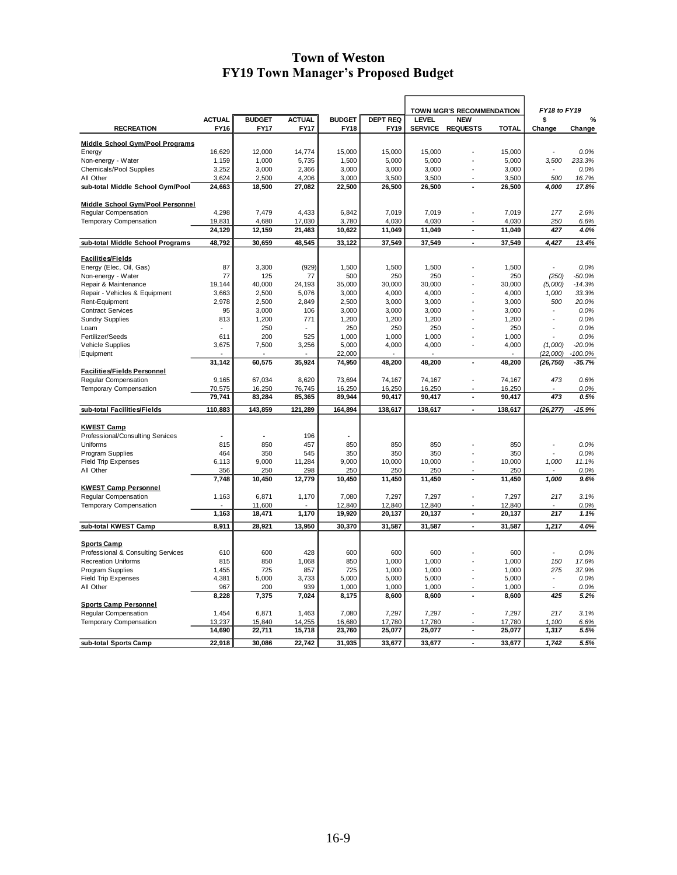|                                               |                  |                  |                  |                  |                  | TOWN MGR'S RECOMMENDATION |                          | FY18 to FY19     |                          |                |
|-----------------------------------------------|------------------|------------------|------------------|------------------|------------------|---------------------------|--------------------------|------------------|--------------------------|----------------|
|                                               | <b>ACTUAL</b>    | <b>BUDGET</b>    | <b>ACTUAL</b>    | <b>BUDGET</b>    | <b>DEPT REQ</b>  | <b>LEVEL</b>              | <b>NEW</b>               |                  | \$                       | %              |
| <b>RECREATION</b>                             | <b>FY16</b>      | <b>FY17</b>      | <b>FY17</b>      | FY18             | <b>FY19</b>      | <b>SERVICE</b>            | <b>REQUESTS</b>          | <b>TOTAL</b>     | Change                   | Change         |
| <b>Middle School Gym/Pool Programs</b>        |                  |                  |                  |                  |                  |                           |                          |                  |                          |                |
| Energy                                        | 16,629           | 12,000           | 14,774           | 15,000           | 15,000           | 15,000                    |                          | 15,000           |                          | 0.0%           |
| Non-energy - Water                            | 1,159            | 1,000            | 5,735            | 1,500            | 5,000            | 5,000                     |                          | 5,000            | 3,500                    | 233.3%         |
| Chemicals/Pool Supplies                       | 3,252            | 3,000            | 2,366            | 3,000            | 3,000            | 3,000                     |                          | 3,000            | $\overline{\phantom{a}}$ | 0.0%           |
| All Other<br>sub-total Middle School Gym/Pool | 3,624<br>24,663  | 2,500<br>18,500  | 4,206<br>27,082  | 3,000<br>22,500  | 3,500<br>26,500  | 3,500<br>26,500           | ÷,                       | 3,500<br>26,500  | 500<br>4,000             | 16.7%<br>17.8% |
|                                               |                  |                  |                  |                  |                  |                           |                          |                  |                          |                |
| Middle School Gym/Pool Personnel              |                  |                  |                  |                  |                  |                           |                          |                  |                          |                |
| Regular Compensation                          | 4,298            | 7,479            | 4,433            | 6,842            | 7,019            | 7,019                     |                          | 7,019            | 177                      | 2.6%           |
| <b>Temporary Compensation</b>                 | 19,831           | 4,680            | 17,030           | 3,780            | 4,030            | 4,030                     |                          | 4,030            | 250                      | 6.6%           |
|                                               | 24,129           | 12,159           | 21,463           | 10,622           | 11,049           | 11,049                    | $\overline{\phantom{a}}$ | 11,049           | 427                      | 4.0%           |
| sub-total Middle School Programs              | 48,792           | 30,659           | 48,545           | 33,122           | 37,549           | 37,549                    | $\blacksquare$           | 37,549           | 4,427                    | 13.4%          |
| Facilities/Fields                             |                  |                  |                  |                  |                  |                           |                          |                  |                          |                |
| Energy (Elec, Oil, Gas)                       | 87               | 3,300            | (929)            | 1,500            | 1,500            | 1,500                     |                          | 1,500            |                          | 0.0%           |
| Non-energy - Water                            | 77               | 125              | 77               | 500              | 250              | 250                       |                          | 250              | (250)                    | $-50.0%$       |
| Repair & Maintenance                          | 19,144           | 40,000           | 24,193           | 35,000           | 30,000           | 30,000                    |                          | 30,000           | (5,000)                  | $-14.3%$       |
| Repair - Vehicles & Equipment                 | 3,663            | 2,500            | 5,076            | 3,000            | 4,000            | 4,000                     |                          | 4,000            | 1,000                    | 33.3%          |
| Rent-Equipment                                | 2,978            | 2,500            | 2,849            | 2,500            | 3,000            | 3,000                     |                          | 3,000            | 500                      | 20.0%          |
| <b>Contract Services</b>                      | 95               | 3,000            | 106              | 3,000            | 3,000            | 3,000                     |                          | 3,000            | $\overline{\phantom{a}}$ | 0.0%           |
| <b>Sundry Supplies</b>                        | 813              | 1,200            | 771              | 1,200            | 1,200            | 1,200                     |                          | 1,200            |                          | 0.0%           |
| Loam                                          |                  | 250              |                  | 250              | 250              | 250                       |                          | 250              |                          | 0.0%           |
| Fertilizer/Seeds                              | 611              | 200              | 525              | 1,000            | 1,000            | 1,000                     |                          | 1,000            |                          | 0.0%           |
| Vehicle Supplies                              | 3,675            | 7,500            | 3,256            | 5,000            | 4,000            | 4,000                     |                          | 4,000            | (1,000)                  | $-20.0%$       |
| Equipment                                     |                  |                  |                  | 22,000           |                  |                           |                          |                  | (22,000)                 | $-100.0\%$     |
|                                               | 31,142           | 60,575           | 35,924           | 74,950           | 48,200           | 48,200                    | $\blacksquare$           | 48,200           | (26, 750)                | $-35.7%$       |
| Facilities/Fields Personnel                   |                  |                  |                  |                  |                  |                           |                          |                  |                          |                |
| Regular Compensation                          | 9,165            | 67,034<br>16,250 | 8,620<br>76,745  | 73,694           | 74,167           | 74,167<br>16,250          |                          | 74,167           | 473                      | 0.6%<br>0.0%   |
| Temporary Compensation                        | 70,575<br>79,741 | 83,284           | 85,365           | 16,250<br>89,944 | 16,250<br>90,417 | 90,417                    | $\overline{\phantom{a}}$ | 16,250<br>90,417 | 473                      | 0.5%           |
| sub-total Facilities/Fields                   | 110,883          | 143,859          | 121,289          | 164,894          | 138,617          | 138,617                   | ä,                       | 138,617          | (26, 277)                | $-15.9%$       |
|                                               |                  |                  |                  |                  |                  |                           |                          |                  |                          |                |
| <b>KWEST Camp</b>                             |                  |                  |                  |                  |                  |                           |                          |                  |                          |                |
| Professional/Consulting Services              |                  |                  | 196              |                  |                  |                           |                          |                  |                          |                |
| Uniforms                                      | 815              | 850              | 457              | 850              | 850              | 850                       |                          | 850              | ÷,                       | 0.0%           |
| Program Supplies                              | 464              | 350              | 545              | 350              | 350              | 350                       |                          | 350              |                          | 0.0%           |
| <b>Field Trip Expenses</b>                    | 6,113            | 9,000            | 11,284           | 9,000            | 10,000           | 10,000                    |                          | 10,000           | 1,000                    | 11.1%          |
| All Other                                     | 356              | 250              | 298              | 250              | 250              | 250                       |                          | 250              |                          | 0.0%           |
|                                               | 7,748            | 10,450           | 12,779           | 10,450           | 11,450           | 11,450                    | $\blacksquare$           | 11,450           | 1,000                    | 9.6%           |
| <b>KWEST Camp Personnel</b>                   |                  |                  |                  |                  |                  |                           |                          |                  |                          |                |
| Regular Compensation                          | 1,163            | 6,871            | 1,170            | 7,080            | 7,297            | 7,297                     |                          | 7,297            | 217                      | 3.1%           |
| <b>Temporary Compensation</b>                 | 1,163            | 11,600<br>18,471 | 1,170            | 12,840<br>19,920 | 12,840<br>20,137 | 12,840<br>20,137          | ÷,                       | 12,840<br>20,137 | 217                      | 0.0%<br>1.1%   |
| sub-total KWEST Camp                          | 8,911            | 28,921           | 13,950           | 30,370           | 31,587           | 31,587                    | $\blacksquare$           | 31,587           | 1,217                    | 4.0%           |
|                                               |                  |                  |                  |                  |                  |                           |                          |                  |                          |                |
| <b>Sports Camp</b>                            |                  |                  |                  |                  |                  |                           |                          |                  |                          |                |
| Professional & Consulting Services            | 610              | 600              | 428              | 600              | 600              | 600                       |                          | 600              |                          | 0.0%           |
| <b>Recreation Uniforms</b>                    | 815              | 850              | 1,068            | 850              | 1,000            | 1,000                     |                          | 1,000            | 150                      | 17.6%          |
| Program Supplies                              | 1,455            | 725              | 857              | 725              | 1,000            | 1,000                     |                          | 1,000            | 275                      | 37.9%          |
| <b>Field Trip Expenses</b>                    | 4,381            | 5,000            | 3,733            | 5,000            | 5,000            | 5,000                     | $\overline{a}$           | 5,000            | $\overline{\phantom{a}}$ | 0.0%           |
| All Other                                     | 967              | 200              | 939              | 1,000            | 1,000            | 1,000                     |                          | 1,000            |                          | 0.0%           |
|                                               | 8,228            | 7,375            | 7,024            | 8,175            | 8,600            | 8,600                     |                          | 8,600            | 425                      | 5.2%           |
| <b>Sports Camp Personnel</b>                  |                  |                  |                  |                  |                  |                           |                          |                  |                          |                |
| Regular Compensation                          | 1,454            | 6,871            | 1,463            | 7,080            | 7,297            | 7,297                     |                          | 7,297            | 217                      | 3.1%           |
| <b>Temporary Compensation</b>                 | 13,237<br>14,690 | 15,840<br>22,711 | 14,255<br>15,718 | 16,680<br>23,760 | 17,780<br>25,077 | 17,780<br>25,077          | ä,                       | 17,780<br>25,077 | 1,100<br>1,317           | 6.6%<br>5.5%   |
|                                               |                  |                  |                  |                  |                  |                           |                          |                  |                          |                |
| sub-total Sports Camp                         | 22,918           | 30,086           | 22,742           | 31,935           | 33,677           | 33,677                    | $\blacksquare$           | 33,677           | 1,742                    | 5.5%           |